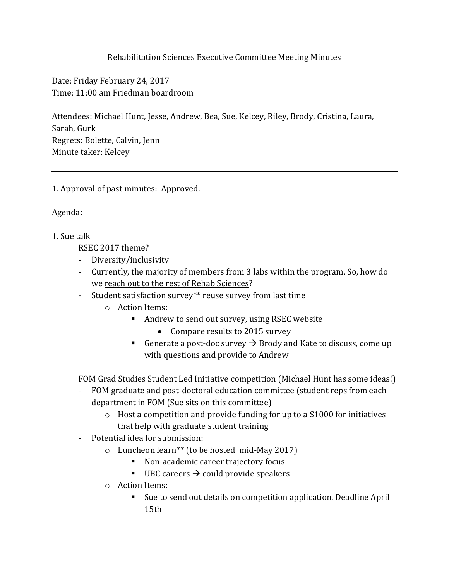## Rehabilitation Sciences Executive Committee Meeting Minutes

Date: Friday February 24, 2017 Time: 11:00 am Friedman boardroom

Attendees: Michael Hunt, Jesse, Andrew, Bea, Sue, Kelcey, Riley, Brody, Cristina, Laura, Sarah, Gurk Regrets: Bolette, Calvin, Jenn Minute taker: Kelcey

1. Approval of past minutes: Approved.

Agenda:

## 1. Sue talk

RSEC 2017 theme?

- Diversity/inclusivity
- Currently, the majority of members from 3 labs within the program. So, how do we reach out to the rest of Rehab Sciences?
- Student satisfaction survey\*\* reuse survey from last time
	- o Action Items:
		- Andrew to send out survey, using RSEC website
			- Compare results to 2015 survey
		- Generate a post-doc survey  $\rightarrow$  Brody and Kate to discuss, come up with questions and provide to Andrew

FOM Grad Studies Student Led Initiative competition (Michael Hunt has some ideas!)

- FOM graduate and post-doctoral education committee (student reps from each department in FOM (Sue sits on this committee)
	- o Host a competition and provide funding for up to a \$1000 for initiatives that help with graduate student training
- Potential idea for submission:
	- o Luncheon learn\*\* (to be hosted mid-May 2017)
		- Non-academic career trajectory focus
		- $\blacksquare$  UBC careers  $\rightarrow$  could provide speakers
	- o Action Items:
		- Sue to send out details on competition application. Deadline April 15th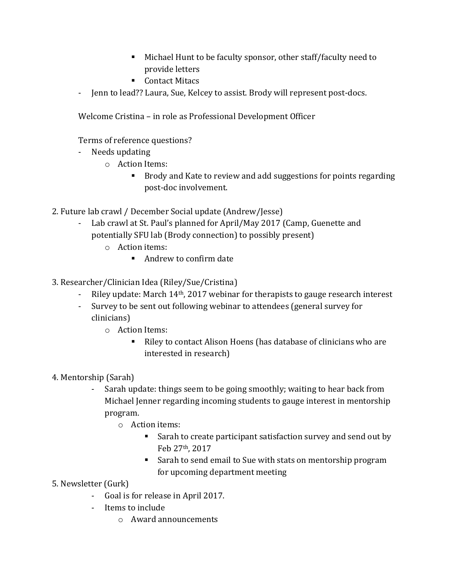- Michael Hunt to be faculty sponsor, other staff/faculty need to provide letters
- Contact Mitacs
- Jenn to lead?? Laura, Sue, Kelcey to assist. Brody will represent post-docs.

Welcome Cristina – in role as Professional Development Officer

Terms of reference questions?

- Needs updating
	- o Action Items:
		- Brody and Kate to review and add suggestions for points regarding post-doc involvement.
- 2. Future lab crawl / December Social update (Andrew/Jesse)
	- Lab crawl at St. Paul's planned for April/May 2017 (Camp, Guenette and potentially SFU lab (Brody connection) to possibly present)
		- o Action items:
			- Andrew to confirm date
- 3. Researcher/Clinician Idea (Riley/Sue/Cristina)
	- Riley update: March 14th, 2017 webinar for therapists to gauge research interest
	- Survey to be sent out following webinar to attendees (general survey for clinicians)
		- o Action Items:
			- Riley to contact Alison Hoens (has database of clinicians who are interested in research)
- 4. Mentorship (Sarah)
	- Sarah update: things seem to be going smoothly; waiting to hear back from Michael Jenner regarding incoming students to gauge interest in mentorship program.
		- o Action items:
			- Sarah to create participant satisfaction survey and send out by Feb 27th, 2017
			- Sarah to send email to Sue with stats on mentorship program for upcoming department meeting
- 5. Newsletter (Gurk)
	- Goal is for release in April 2017.
	- Items to include
		- o Award announcements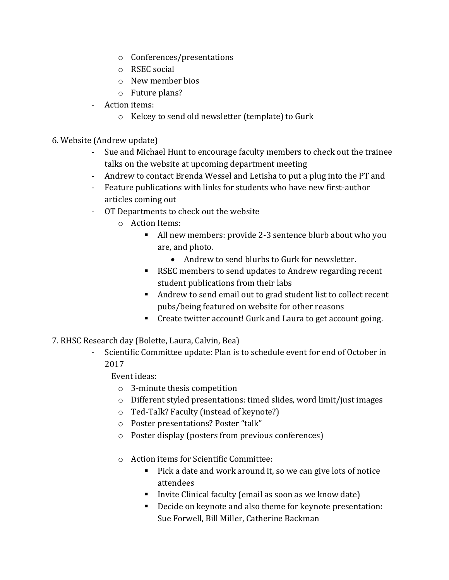- o Conferences/presentations
- o RSEC social
- o New member bios
- o Future plans?
- Action items:
	- o Kelcey to send old newsletter (template) to Gurk
- 6. Website (Andrew update)
	- Sue and Michael Hunt to encourage faculty members to check out the trainee talks on the website at upcoming department meeting
	- Andrew to contact Brenda Wessel and Letisha to put a plug into the PT and
	- Feature publications with links for students who have new first-author articles coming out
	- OT Departments to check out the website
		- o Action Items:
			- All new members: provide 2-3 sentence blurb about who you are, and photo.
				- Andrew to send blurbs to Gurk for newsletter.
			- RSEC members to send updates to Andrew regarding recent student publications from their labs
			- Andrew to send email out to grad student list to collect recent pubs/being featured on website for other reasons
			- Create twitter account! Gurk and Laura to get account going.
- 7. RHSC Research day (Bolette, Laura, Calvin, Bea)
	- Scientific Committee update: Plan is to schedule event for end of October in 2017
		- Event ideas:
			- o 3-minute thesis competition
			- o Different styled presentations: timed slides, word limit/just images
			- o Ted-Talk? Faculty (instead of keynote?)
			- o Poster presentations? Poster "talk"
			- o Poster display (posters from previous conferences)
			- o Action items for Scientific Committee:
				- Pick a date and work around it, so we can give lots of notice attendees
				- Invite Clinical faculty (email as soon as we know date)
				- Decide on keynote and also theme for keynote presentation: Sue Forwell, Bill Miller, Catherine Backman